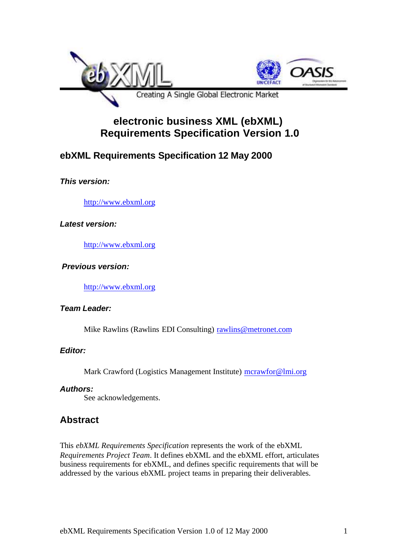

# **electronic business XML (ebXML) Requirements Specification Version 1.0**

## **ebXML Requirements Specification 12 May 2000**

## *This version:*

http://www.ebxml.org

#### *Latest version:*

http://www.ebxml.org

#### *Previous version:*

http://www.ebxml.org

#### *Team Leader:*

Mike Rawlins (Rawlins EDI Consulting) rawlins@metronet.com

## *Editor:*

Mark Crawford (Logistics Management Institute) mcrawfor@lmi.org

#### *Authors:*

See acknowledgements.

## **Abstract**

This *ebXML Requirements Specification* represents the work of the ebXML *Requirements Project Team*. It defines ebXML and the ebXML effort, articulates business requirements for ebXML, and defines specific requirements that will be addressed by the various ebXML project teams in preparing their deliverables.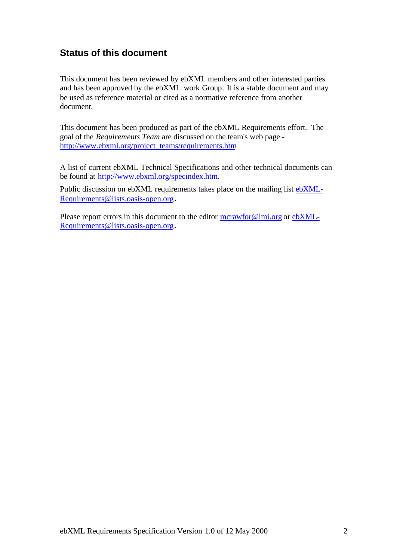## **Status of this document**

This document has been reviewed by ebXML members and other interested parties and has been approved by the ebXML work Group. It is a stable document and may be used as reference material or cited as a normative reference from another document.

This document has been produced as part of the ebXML Requirements effort. The goal of the *Requirements Team* are discussed on the team's web page http://www.ebxml.org/project\_teams/requirements.htm

A list of current ebXML Technical Specifications and other technical documents can be found at http://www.ebxml.org/specindex.htm.

Public discussion on ebXML requirements takes place on the mailing list ebXML-Requirements@lists.oasis-open.org.

Please report errors in this document to the editor mcrawfor@lmi.org or ebXML-Requirements@lists.oasis-open.org.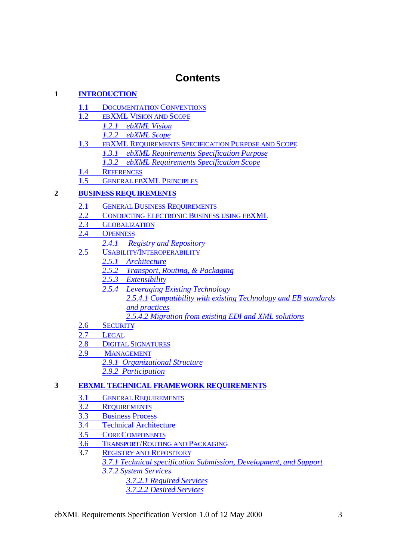# **Contents**

## **1 INTRODUCTION**

- 1.1 DOCUMENTATION CONVENTIONS
- 1.2 EBXML VISION AND SCOPE
	- *1.2.1 ebXML Vision*
	- *1.2.2 ebXML Scope*
- 1.3 EBXML REQUIREMENTS SPECIFICATION PURPOSE AND SCOPE *1.3.1 ebXML Requirements Specification Purpose*
	- *1.3.2 ebXML Requirements Specification Scope*
- 1.4 REFERENCES
- 1.5 GENERAL EBXML PRINCIPLES

## **2 BUSINESS REQUIREMENTS**

- 2.1 GENERAL BUSINESS REQUIREMENTS
- 2.2 CONDUCTING ELECTRONIC BUSINESS USING EBXML
- 2.3 GLOBALIZATION
- 2.4 OPENNESS
	- *2.4.1 Registry and Repository*
- 2.5 USABILITY/INTEROPERABILITY
	- *2.5.1 Architecture*
	- *2.5.2 Transport, Routing, & Packaging*
	- *2.5.3 Extensibility*
		- *2.5.4 Leveraging Existing Technology*
			- *2.5.4.1 Compatibility with existing Technology and EB standards and practices*
				- *2.5.4.2 Migration from existing EDI and XML solutions*
- 2.6 SECURITY
- 2.7 LEGAL
- 2.8 DIGITAL SIGNATURES
- 2.9 MANAGEMENT
	- *2.9.1 Organizational Structure*
		- *2.9.2 Participation*
- **3 EBXML TECHNICAL FRAMEWORK REQUIREMENTS**
	- 3.1 GENERAL REQUIREMENTS<br>3.2 REQUIREMENTS
	- **REQUIREMENTS**
	- 3.3 Business Process
	- 3.4 Technical Architecture
	- 3.5 CORE COMPONENTS
	- 3.6 TRANSPORT/ROUTING AND PACKAGING
	- 3.7 REGISTRY AND REPOSITORY
		- *3.7.1 Technical specification Submission, Development, and Support 3.7.2 System Services*
			- *3.7.2.1 Required Services*
				- *3.7.2.2 Desired Services*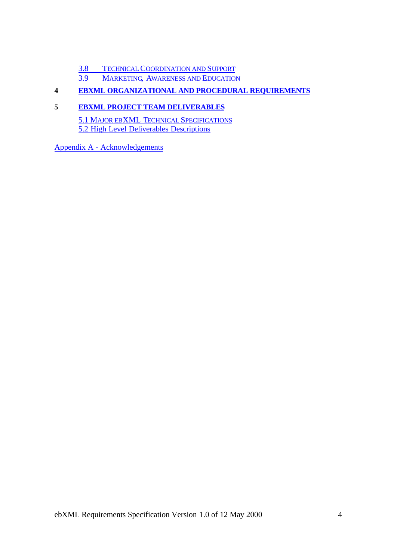3.8 TECHNICAL COORDINATION AND SUPPORT

3.9 MARKETING, AWARENESS AND EDUCATION

#### **4 EBXML ORGANIZATIONAL AND PROCEDURAL REQUIREMENTS**

#### **5 EBXML PROJECT TEAM DELIVERABLES**

5.1 MAJOR EBXML TECHNICAL SPECIFICATIONS 5.2 High Level Deliverables Descriptions

Appendix A - Acknowledgements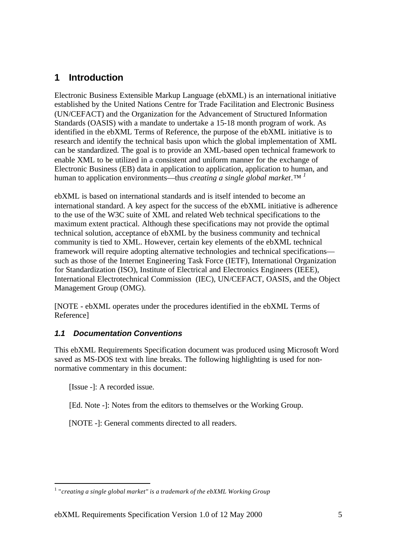## **1 Introduction**

Electronic Business Extensible Markup Language (ebXML) is an international initiative established by the United Nations Centre for Trade Facilitation and Electronic Business (UN/CEFACT) and the Organization for the Advancement of Structured Information Standards (OASIS) with a mandate to undertake a 15-18 month program of work. As identified in the ebXML Terms of Reference, the purpose of the ebXML initiative is to research and identify the technical basis upon which the global implementation of XML can be standardized. The goal is to provide an XML-based open technical framework to enable XML to be utilized in a consistent and uniform manner for the exchange of Electronic Business (EB) data in application to application, application to human, and human to application environments—thus *creating a single global market.™ <sup>1</sup>*

ebXML is based on international standards and is itself intended to become an international standard. A key aspect for the success of the ebXML initiative is adherence to the use of the W3C suite of XML and related Web technical specifications to the maximum extent practical. Although these specifications may not provide the optimal technical solution, acceptance of ebXML by the business community and technical community is tied to XML. However, certain key elements of the ebXML technical framework will require adopting alternative technologies and technical specifications such as those of the Internet Engineering Task Force (IETF), International Organization for Standardization (ISO), Institute of Electrical and Electronics Engineers (IEEE), International Electrotechnical Commission (IEC), UN/CEFACT, OASIS, and the Object Management Group (OMG).

[NOTE - ebXML operates under the procedures identified in the ebXML Terms of Reference]

## *1.1 Documentation Conventions*

This ebXML Requirements Specification document was produced using Microsoft Word saved as MS-DOS text with line breaks. The following highlighting is used for nonnormative commentary in this document:

[Issue -]: A recorded issue.

l

[Ed. Note -]: Notes from the editors to themselves or the Working Group.

[NOTE -]: General comments directed to all readers.

<sup>&</sup>lt;sup>1</sup> "creating a single global market" is a trademark of the ebXML Working Group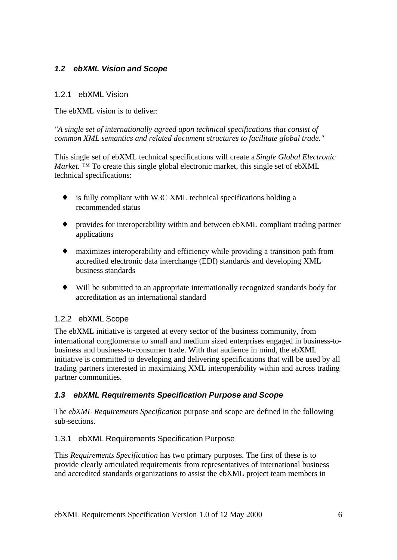## *1.2 ebXML Vision and Scope*

#### 1.2.1 ebXML Vision

The ebXML vision is to deliver:

*"A single set of internationally agreed upon technical specifications that consist of common XML semantics and related document structures to facilitate global trade."*

This single set of ebXML technical specifications will create a *Single Global Electronic Market.* ™ To create this single global electronic market, this single set of ebXML technical specifications:

- ♦ is fully compliant with W3C XML technical specifications holding a recommended status
- provides for interoperability within and between ebXML compliant trading partner applications
- ♦ maximizes interoperability and efficiency while providing a transition path from accredited electronic data interchange (EDI) standards and developing XML business standards
- ♦ Will be submitted to an appropriate internationally recognized standards body for accreditation as an international standard

## 1.2.2 ebXML Scope

The ebXML initiative is targeted at every sector of the business community, from international conglomerate to small and medium sized enterprises engaged in business-tobusiness and business-to-consumer trade. With that audience in mind, the ebXML initiative is committed to developing and delivering specifications that will be used by all trading partners interested in maximizing XML interoperability within and across trading partner communities.

## *1.3 ebXML Requirements Specification Purpose and Scope*

The *ebXML Requirements Specification* purpose and scope are defined in the following sub-sections.

## 1.3.1 ebXML Requirements Specification Purpose

This *Requirements Specification* has two primary purposes. The first of these is to provide clearly articulated requirements from representatives of international business and accredited standards organizations to assist the ebXML project team members in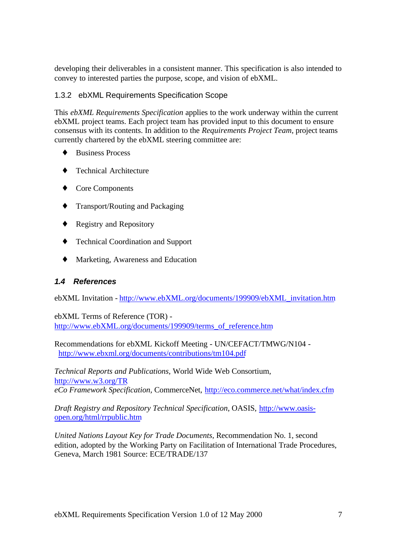developing their deliverables in a consistent manner. This specification is also intended to convey to interested parties the purpose, scope, and vision of ebXML.

## 1.3.2 ebXML Requirements Specification Scope

This *ebXML Requirements Specification* applies to the work underway within the current ebXML project teams. Each project team has provided input to this document to ensure consensus with its contents. In addition to the *Requirements Project Team*, project teams currently chartered by the ebXML steering committee are:

- ♦ Business Process
- **Technical Architecture**
- ♦ Core Components
- ♦ Transport/Routing and Packaging
- ♦ Registry and Repository
- ♦ Technical Coordination and Support
- ♦ Marketing, Awareness and Education

## *1.4 References*

ebXML Invitation - http://www.ebXML.org/documents/199909/ebXML\_invitation.htm

ebXML Terms of Reference (TOR) http://www.ebXML.org/documents/199909/terms\_of\_reference.htm

Recommendations for ebXML Kickoff Meeting - UN/CEFACT/TMWG/N104 http://www.ebxml.org/documents/contributions/tm104.pdf

*Technical Reports and Publications,* World Wide Web Consortium*,* http://www.w3.org/TR *eCo Framework Specification,* CommerceNet, http://eco.commerce.net/what/index.cfm

*Draft Registry and Repository Technical Specification*, OASIS, http://www.oasisopen.org/html/rrpublic.htm

*United Nations Layout Key for Trade Documents,* Recommendation No. 1, second edition, adopted by the Working Party on Facilitation of International Trade Procedures, Geneva, March 1981 Source: ECE/TRADE/137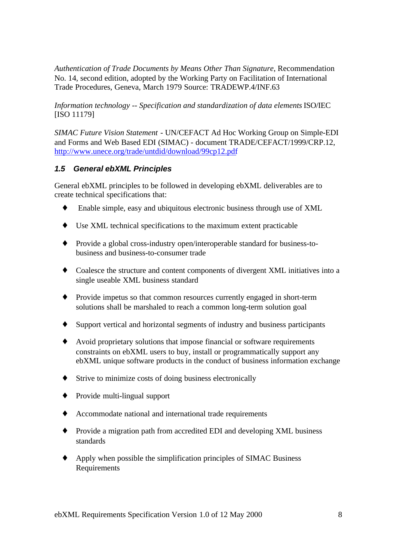*Authentication of Trade Documents by Means Other Than Signature*, Recommendation No. 14, second edition, adopted by the Working Party on Facilitation of International Trade Procedures, Geneva, March 1979 Source: TRADEWP.4/INF.63

*Information technology -- Specification and standardization of data elements* ISO/IEC [ISO 11179]

*SIMAC Future Vision Statement* - UN/CEFACT Ad Hoc Working Group on Simple-EDI and Forms and Web Based EDI (SIMAC) - document TRADE/CEFACT/1999/CRP.12, http://www.unece.org/trade/untdid/download/99cp12.pdf

#### *1.5 General ebXML Principles*

General ebXML principles to be followed in developing ebXML deliverables are to create technical specifications that:

- ♦ Enable simple, easy and ubiquitous electronic business through use of XML
- ♦ Use XML technical specifications to the maximum extent practicable
- ♦ Provide a global cross-industry open/interoperable standard for business-tobusiness and business-to-consumer trade
- ♦ Coalesce the structure and content components of divergent XML initiatives into a single useable XML business standard
- ♦ Provide impetus so that common resources currently engaged in short-term solutions shall be marshaled to reach a common long-term solution goal
- ♦ Support vertical and horizontal segments of industry and business participants
- ♦ Avoid proprietary solutions that impose financial or software requirements constraints on ebXML users to buy, install or programmatically support any ebXML unique software products in the conduct of business information exchange
- ♦ Strive to minimize costs of doing business electronically
- ♦ Provide multi-lingual support
- ♦ Accommodate national and international trade requirements
- ♦ Provide a migration path from accredited EDI and developing XML business standards
- ♦ Apply when possible the simplification principles of SIMAC Business Requirements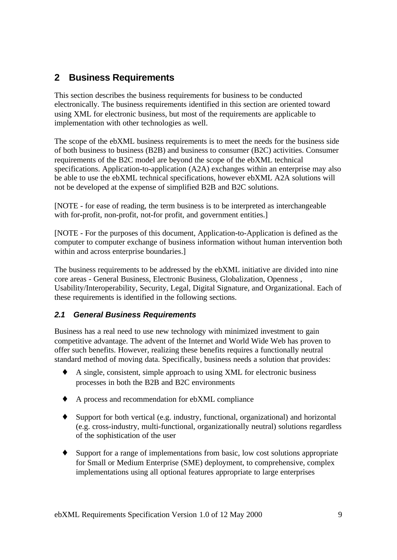## **2 Business Requirements**

This section describes the business requirements for business to be conducted electronically. The business requirements identified in this section are oriented toward using XML for electronic business, but most of the requirements are applicable to implementation with other technologies as well.

The scope of the ebXML business requirements is to meet the needs for the business side of both business to business (B2B) and business to consumer (B2C) activities. Consumer requirements of the B2C model are beyond the scope of the ebXML technical specifications. Application-to-application (A2A) exchanges within an enterprise may also be able to use the ebXML technical specifications, however ebXML A2A solutions will not be developed at the expense of simplified B2B and B2C solutions.

[NOTE - for ease of reading, the term business is to be interpreted as interchangeable with for-profit, non-profit, not-for profit, and government entities.

[NOTE - For the purposes of this document, Application-to-Application is defined as the computer to computer exchange of business information without human intervention both within and across enterprise boundaries.]

The business requirements to be addressed by the ebXML initiative are divided into nine core areas - General Business, Electronic Business, Globalization, Openness , Usability/Interoperability, Security, Legal, Digital Signature, and Organizational. Each of these requirements is identified in the following sections.

## *2.1 General Business Requirements*

Business has a real need to use new technology with minimized investment to gain competitive advantage. The advent of the Internet and World Wide Web has proven to offer such benefits. However, realizing these benefits requires a functionally neutral standard method of moving data. Specifically, business needs a solution that provides:

- ♦ A single, consistent, simple approach to using XML for electronic business processes in both the B2B and B2C environments
- ♦ A process and recommendation for ebXML compliance
- ♦ Support for both vertical (e.g. industry, functional, organizational) and horizontal (e.g. cross-industry, multi-functional, organizationally neutral) solutions regardless of the sophistication of the user
- ♦ Support for a range of implementations from basic, low cost solutions appropriate for Small or Medium Enterprise (SME) deployment, to comprehensive, complex implementations using all optional features appropriate to large enterprises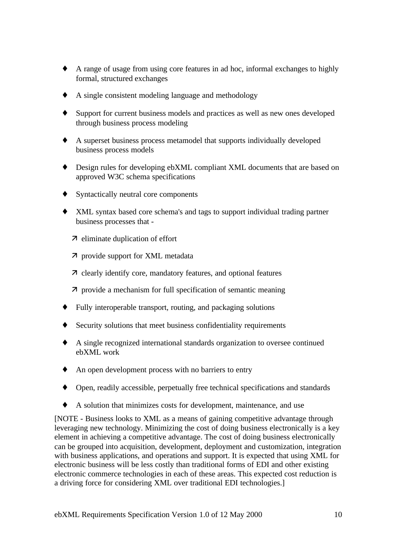- ♦ A range of usage from using core features in ad hoc, informal exchanges to highly formal, structured exchanges
- ♦ A single consistent modeling language and methodology
- Support for current business models and practices as well as new ones developed through business process modeling
- ♦ A superset business process metamodel that supports individually developed business process models
- ♦ Design rules for developing ebXML compliant XML documents that are based on approved W3C schema specifications
- ♦ Syntactically neutral core components
- ♦ XML syntax based core schema's and tags to support individual trading partner business processes that -
	- $\n *n*\n eliminate duplication of effort\n$
	- 7 provide support for XML metadata
	- 7 clearly identify core, mandatory features, and optional features
	- $\bar{\lambda}$  provide a mechanism for full specification of semantic meaning
- ♦ Fully interoperable transport, routing, and packaging solutions
- Security solutions that meet business confidentiality requirements
- ♦ A single recognized international standards organization to oversee continued ebXML work
- ♦ An open development process with no barriers to entry
- ♦ Open, readily accessible, perpetually free technical specifications and standards
- A solution that minimizes costs for development, maintenance, and use

[NOTE - Business looks to XML as a means of gaining competitive advantage through leveraging new technology. Minimizing the cost of doing business electronically is a key element in achieving a competitive advantage. The cost of doing business electronically can be grouped into acquisition, development, deployment and customization, integration with business applications, and operations and support. It is expected that using XML for electronic business will be less costly than traditional forms of EDI and other existing electronic commerce technologies in each of these areas. This expected cost reduction is a driving force for considering XML over traditional EDI technologies.]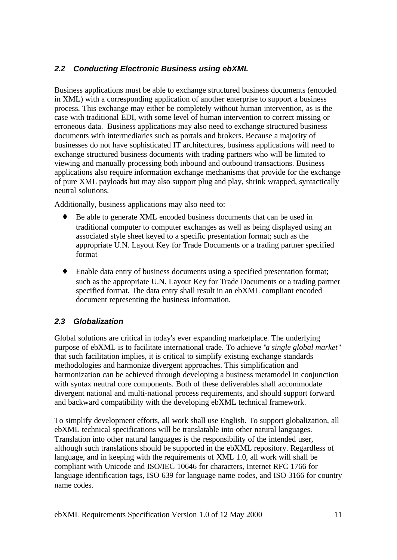## *2.2 Conducting Electronic Business using ebXML*

Business applications must be able to exchange structured business documents (encoded in XML) with a corresponding application of another enterprise to support a business process. This exchange may either be completely without human intervention, as is the case with traditional EDI, with some level of human intervention to correct missing or erroneous data. Business applications may also need to exchange structured business documents with intermediaries such as portals and brokers. Because a majority of businesses do not have sophisticated IT architectures, business applications will need to exchange structured business documents with trading partners who will be limited to viewing and manually processing both inbound and outbound transactions. Business applications also require information exchange mechanisms that provide for the exchange of pure XML payloads but may also support plug and play, shrink wrapped, syntactically neutral solutions.

Additionally, business applications may also need to:

- Be able to generate XML encoded business documents that can be used in traditional computer to computer exchanges as well as being displayed using an associated style sheet keyed to a specific presentation format; such as the appropriate U.N. Layout Key for Trade Documents or a trading partner specified format
- ♦ Enable data entry of business documents using a specified presentation format; such as the appropriate U.N. Layout Key for Trade Documents or a trading partner specified format. The data entry shall result in an ebXML compliant encoded document representing the business information.

## *2.3 Globalization*

Global solutions are critical in today's ever expanding marketplace. The underlying purpose of ebXML is to facilitate international trade. To achieve "*a single global market*" that such facilitation implies, it is critical to simplify existing exchange standards methodologies and harmonize divergent approaches. This simplification and harmonization can be achieved through developing a business metamodel in conjunction with syntax neutral core components. Both of these deliverables shall accommodate divergent national and multi-national process requirements, and should support forward and backward compatibility with the developing ebXML technical framework.

To simplify development efforts, all work shall use English. To support globalization, all ebXML technical specifications will be translatable into other natural languages. Translation into other natural languages is the responsibility of the intended user, although such translations should be supported in the ebXML repository. Regardless of language, and in keeping with the requirements of XML 1.0, all work will shall be compliant with Unicode and ISO/IEC 10646 for characters, Internet RFC 1766 for language identification tags, ISO 639 for language name codes, and ISO 3166 for country name codes.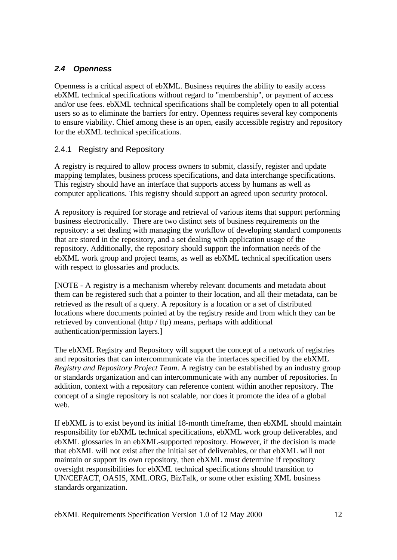## *2.4 Openness*

Openness is a critical aspect of ebXML. Business requires the ability to easily access ebXML technical specifications without regard to "membership", or payment of access and/or use fees. ebXML technical specifications shall be completely open to all potential users so as to eliminate the barriers for entry. Openness requires several key components to ensure viability. Chief among these is an open, easily accessible registry and repository for the ebXML technical specifications.

#### 2.4.1 Registry and Repository

A registry is required to allow process owners to submit, classify, register and update mapping templates, business process specifications, and data interchange specifications. This registry should have an interface that supports access by humans as well as computer applications. This registry should support an agreed upon security protocol.

A repository is required for storage and retrieval of various items that support performing business electronically. There are two distinct sets of business requirements on the repository: a set dealing with managing the workflow of developing standard components that are stored in the repository, and a set dealing with application usage of the repository. Additionally, the repository should support the information needs of the ebXML work group and project teams, as well as ebXML technical specification users with respect to glossaries and products.

[NOTE - A registry is a mechanism whereby relevant documents and metadata about them can be registered such that a pointer to their location, and all their metadata, can be retrieved as the result of a query. A repository is a location or a set of distributed locations where documents pointed at by the registry reside and from which they can be retrieved by conventional (http / ftp) means, perhaps with additional authentication/permission layers.]

The ebXML Registry and Repository will support the concept of a network of registries and repositories that can intercommunicate via the interfaces specified by the ebXML *Registry and Repository Project Team*. A registry can be established by an industry group or standards organization and can intercommunicate with any number of repositories. In addition, context with a repository can reference content within another repository. The concept of a single repository is not scalable, nor does it promote the idea of a global web.

If ebXML is to exist beyond its initial 18-month timeframe, then ebXML should maintain responsibility for ebXML technical specifications, ebXML work group deliverables, and ebXML glossaries in an ebXML-supported repository. However, if the decision is made that ebXML will not exist after the initial set of deliverables, or that ebXML will not maintain or support its own repository, then ebXML must determine if repository oversight responsibilities for ebXML technical specifications should transition to UN/CEFACT, OASIS, XML.ORG, BizTalk, or some other existing XML business standards organization.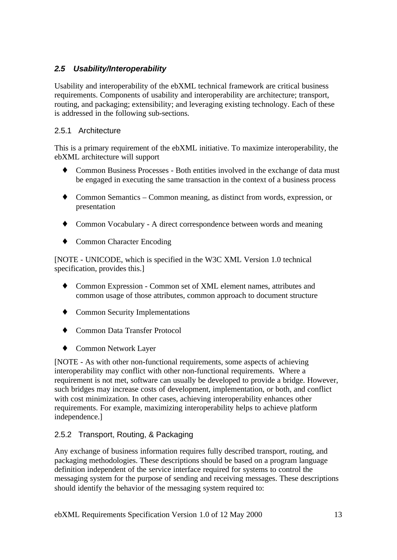## *2.5 Usability/Interoperability*

Usability and interoperability of the ebXML technical framework are critical business requirements. Components of usability and interoperability are architecture; transport, routing, and packaging; extensibility; and leveraging existing technology. Each of these is addressed in the following sub-sections.

#### 2.5.1 Architecture

This is a primary requirement of the ebXML initiative. To maximize interoperability, the ebXML architecture will support

- ♦ Common Business Processes Both entities involved in the exchange of data must be engaged in executing the same transaction in the context of a business process
- ♦ Common Semantics Common meaning, as distinct from words, expression, or presentation
- ♦ Common Vocabulary A direct correspondence between words and meaning
- ♦ Common Character Encoding

[NOTE - UNICODE, which is specified in the W3C XML Version 1.0 technical specification, provides this.]

- ♦ Common Expression Common set of XML element names, attributes and common usage of those attributes, common approach to document structure
- ♦ Common Security Implementations
- ♦ Common Data Transfer Protocol
- ♦ Common Network Layer

[NOTE - As with other non-functional requirements, some aspects of achieving interoperability may conflict with other non-functional requirements. Where a requirement is not met, software can usually be developed to provide a bridge. However, such bridges may increase costs of development, implementation, or both, and conflict with cost minimization. In other cases, achieving interoperability enhances other requirements. For example, maximizing interoperability helps to achieve platform independence.]

## 2.5.2 Transport, Routing, & Packaging

Any exchange of business information requires fully described transport, routing, and packaging methodologies. These descriptions should be based on a program language definition independent of the service interface required for systems to control the messaging system for the purpose of sending and receiving messages. These descriptions should identify the behavior of the messaging system required to: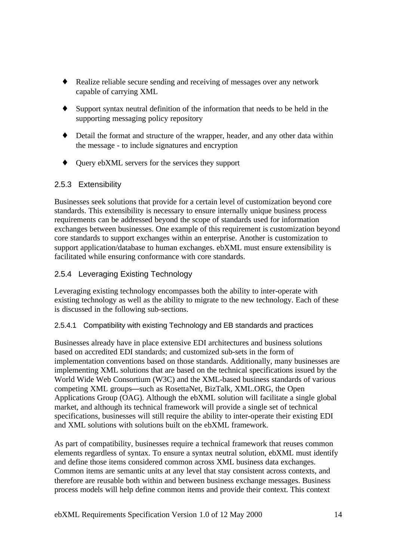- Realize reliable secure sending and receiving of messages over any network capable of carrying XML
- ♦ Support syntax neutral definition of the information that needs to be held in the supporting messaging policy repository
- ♦ Detail the format and structure of the wrapper, header, and any other data within the message - to include signatures and encryption
- ♦ Query ebXML servers for the services they support

#### 2.5.3 Extensibility

Businesses seek solutions that provide for a certain level of customization beyond core standards. This extensibility is necessary to ensure internally unique business process requirements can be addressed beyond the scope of standards used for information exchanges between businesses. One example of this requirement is customization beyond core standards to support exchanges within an enterprise. Another is customization to support application/database to human exchanges. ebXML must ensure extensibility is facilitated while ensuring conformance with core standards.

## 2.5.4 Leveraging Existing Technology

Leveraging existing technology encompasses both the ability to inter-operate with existing technology as well as the ability to migrate to the new technology. Each of these is discussed in the following sub-sections.

#### 2.5.4.1 Compatibility with existing Technology and EB standards and practices

Businesses already have in place extensive EDI architectures and business solutions based on accredited EDI standards; and customized sub-sets in the form of implementation conventions based on those standards. Additionally, many businesses are implementing XML solutions that are based on the technical specifications issued by the World Wide Web Consortium (W3C) and the XML-based business standards of various competing XML groups—such as RosettaNet, BizTalk, XML.ORG, the Open Applications Group (OAG). Although the ebXML solution will facilitate a single global market, and although its technical framework will provide a single set of technical specifications, businesses will still require the ability to inter-operate their existing EDI and XML solutions with solutions built on the ebXML framework.

As part of compatibility, businesses require a technical framework that reuses common elements regardless of syntax. To ensure a syntax neutral solution, ebXML must identify and define those items considered common across XML business data exchanges. Common items are semantic units at any level that stay consistent across contexts, and therefore are reusable both within and between business exchange messages. Business process models will help define common items and provide their context. This context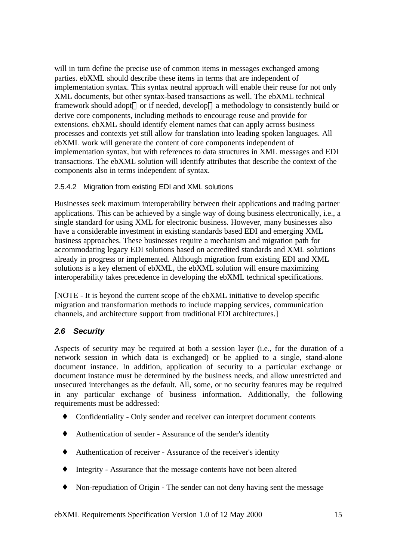will in turn define the precise use of common items in messages exchanged among parties. ebXML should describe these items in terms that are independent of implementation syntax. This syntax neutral approach will enable their reuse for not only XML documents, but other syntax-based transactions as well. The ebXML technical framework should adopt—or if needed, develop—a methodology to consistently build or derive core components, including methods to encourage reuse and provide for extensions. ebXML should identify element names that can apply across business processes and contexts yet still allow for translation into leading spoken languages. All ebXML work will generate the content of core components independent of implementation syntax, but with references to data structures in XML messages and EDI transactions. The ebXML solution will identify attributes that describe the context of the components also in terms independent of syntax.

#### 2.5.4.2 Migration from existing EDI and XML solutions

Businesses seek maximum interoperability between their applications and trading partner applications. This can be achieved by a single way of doing business electronically, i.e., a single standard for using XML for electronic business. However, many businesses also have a considerable investment in existing standards based EDI and emerging XML business approaches. These businesses require a mechanism and migration path for accommodating legacy EDI solutions based on accredited standards and XML solutions already in progress or implemented. Although migration from existing EDI and XML solutions is a key element of ebXML, the ebXML solution will ensure maximizing interoperability takes precedence in developing the ebXML technical specifications.

[NOTE - It is beyond the current scope of the ebXML initiative to develop specific migration and transformation methods to include mapping services, communication channels, and architecture support from traditional EDI architectures.]

#### *2.6 Security*

Aspects of security may be required at both a session layer (i.e., for the duration of a network session in which data is exchanged) or be applied to a single, stand-alone document instance. In addition, application of security to a particular exchange or document instance must be determined by the business needs, and allow unrestricted and unsecured interchanges as the default. All, some, or no security features may be required in any particular exchange of business information. Additionally, the following requirements must be addressed:

- Confidentiality Only sender and receiver can interpret document contents
- ♦ Authentication of sender Assurance of the sender's identity
- ♦ Authentication of receiver Assurance of the receiver's identity
- ♦ Integrity Assurance that the message contents have not been altered
- ♦ Non-repudiation of Origin The sender can not deny having sent the message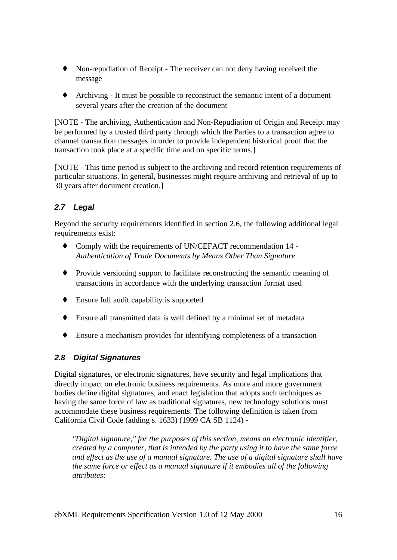- ♦ Non-repudiation of Receipt The receiver can not deny having received the message
- ♦ Archiving It must be possible to reconstruct the semantic intent of a document several years after the creation of the document

[NOTE - The archiving, Authentication and Non-Repudiation of Origin and Receipt may be performed by a trusted third party through which the Parties to a transaction agree to channel transaction messages in order to provide independent historical proof that the transaction took place at a specific time and on specific terms.]

[NOTE - This time period is subject to the archiving and record retention requirements of particular situations. In general, businesses might require archiving and retrieval of up to 30 years after document creation.]

## *2.7 Legal*

Beyond the security requirements identified in section 2.6, the following additional legal requirements exist:

- Comply with the requirements of UN/CEFACT recommendation 14 -*Authentication of Trade Documents by Means Other Than Signature*
- ♦ Provide versioning support to facilitate reconstructing the semantic meaning of transactions in accordance with the underlying transaction format used
- ♦ Ensure full audit capability is supported
- ♦ Ensure all transmitted data is well defined by a minimal set of metadata
- ♦ Ensure a mechanism provides for identifying completeness of a transaction

## *2.8 Digital Signatures*

Digital signatures, or electronic signatures, have security and legal implications that directly impact on electronic business requirements. As more and more government bodies define digital signatures, and enact legislation that adopts such techniques as having the same force of law as traditional signatures, new technology solutions must accommodate these business requirements. The following definition is taken from California Civil Code (adding s. 1633) (1999 CA SB 1124) -

*"Digital signature," for the purposes of this section, means an electronic identifier, created by a computer, that is intended by the party using it to have the same force and effect as the use of a manual signature. The use of a digital signature shall have the same force or effect as a manual signature if it embodies all of the following attributes:*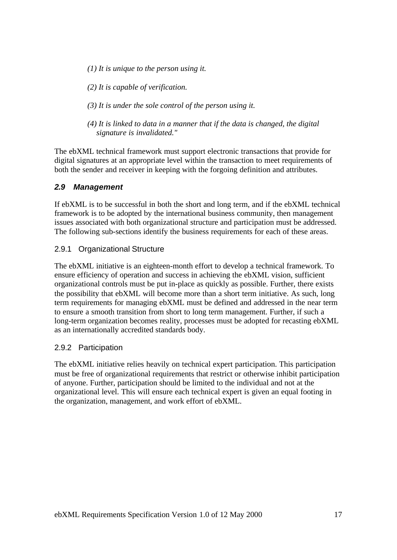- *(1) It is unique to the person using it.*
- *(2) It is capable of verification.*
- *(3) It is under the sole control of the person using it.*
- *(4) It is linked to data in a manner that if the data is changed, the digital signature is invalidated."*

The ebXML technical framework must support electronic transactions that provide for digital signatures at an appropriate level within the transaction to meet requirements of both the sender and receiver in keeping with the forgoing definition and attributes.

#### *2.9 Management*

If ebXML is to be successful in both the short and long term, and if the ebXML technical framework is to be adopted by the international business community, then management issues associated with both organizational structure and participation must be addressed. The following sub-sections identify the business requirements for each of these areas.

#### 2.9.1 Organizational Structure

The ebXML initiative is an eighteen-month effort to develop a technical framework. To ensure efficiency of operation and success in achieving the ebXML vision, sufficient organizational controls must be put in-place as quickly as possible. Further, there exists the possibility that ebXML will become more than a short term initiative. As such, long term requirements for managing ebXML must be defined and addressed in the near term to ensure a smooth transition from short to long term management. Further, if such a long-term organization becomes reality, processes must be adopted for recasting ebXML as an internationally accredited standards body.

#### 2.9.2 Participation

The ebXML initiative relies heavily on technical expert participation. This participation must be free of organizational requirements that restrict or otherwise inhibit participation of anyone. Further, participation should be limited to the individual and not at the organizational level. This will ensure each technical expert is given an equal footing in the organization, management, and work effort of ebXML.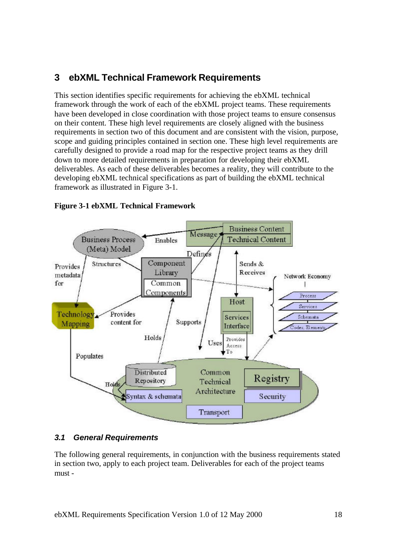## **3 ebXML Technical Framework Requirements**

This section identifies specific requirements for achieving the ebXML technical framework through the work of each of the ebXML project teams. These requirements have been developed in close coordination with those project teams to ensure consensus on their content. These high level requirements are closely aligned with the business requirements in section two of this document and are consistent with the vision, purpose, scope and guiding principles contained in section one. These high level requirements are carefully designed to provide a road map for the respective project teams as they drill down to more detailed requirements in preparation for developing their ebXML deliverables. As each of these deliverables becomes a reality, they will contribute to the developing ebXML technical specifications as part of building the ebXML technical framework as illustrated in Figure 3-1.



#### **Figure 3-1 ebXML Technical Framework**

## *3.1 General Requirements*

The following general requirements, in conjunction with the business requirements stated in section two, apply to each project team. Deliverables for each of the project teams must -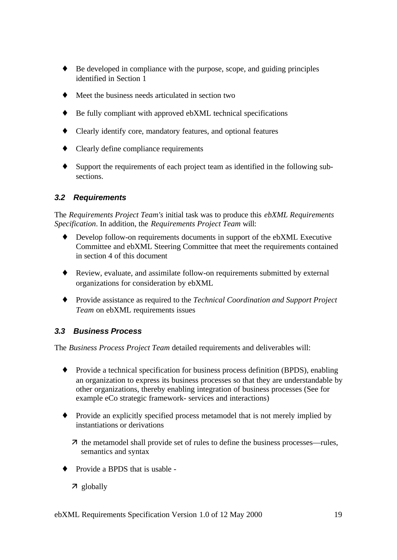- ♦ Be developed in compliance with the purpose, scope, and guiding principles identified in Section 1
- Meet the business needs articulated in section two
- ♦ Be fully compliant with approved ebXML technical specifications
- Clearly identify core, mandatory features, and optional features
- ♦ Clearly define compliance requirements
- Support the requirements of each project team as identified in the following subsections.

#### *3.2 Requirements*

The *Requirements Project Team's* initial task was to produce this *ebXML Requirements Specification*. In addition, the *Requirements Project Team* will:

- Develop follow-on requirements documents in support of the ebXML Executive Committee and ebXML Steering Committee that meet the requirements contained in section 4 of this document
- ♦ Review, evaluate, and assimilate follow-on requirements submitted by external organizations for consideration by ebXML
- ♦ Provide assistance as required to the *Technical Coordination and Support Project Team* on ebXML requirements issues

## *3.3 Business Process*

The *Business Process Project Team* detailed requirements and deliverables will:

- ♦ Provide a technical specification for business process definition (BPDS), enabling an organization to express its business processes so that they are understandable by other organizations, thereby enabling integration of business processes (See for example eCo strategic framework- services and interactions)
- ♦ Provide an explicitly specified process metamodel that is not merely implied by instantiations or derivations
	- $\bar{\tau}$  the metamodel shall provide set of rules to define the business processes—rules, semantics and syntax
- ◆ Provide a BPDS that is usable -
	- 7 globally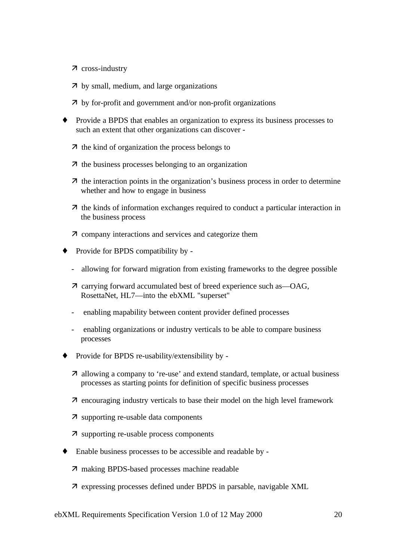- $\n *7*\n cross-industry\n$
- $\overline{z}$  by small, medium, and large organizations
- $\overline{\phantom{a}}$  by for-profit and government and/or non-profit organizations
- ♦ Provide a BPDS that enables an organization to express its business processes to such an extent that other organizations can discover -
	- $\overline{\mathcal{A}}$  the kind of organization the process belongs to
	- $\overline{\mathcal{A}}$  the business processes belonging to an organization
	- $\lambda$  the interaction points in the organization's business process in order to determine whether and how to engage in business
	- $\overline{\mathcal{A}}$  the kinds of information exchanges required to conduct a particular interaction in the business process
	- $\bar{\lambda}$  company interactions and services and categorize them
- ♦ Provide for BPDS compatibility by
	- allowing for forward migration from existing frameworks to the degree possible
	- $\bar{\lambda}$  carrying forward accumulated best of breed experience such as —OAG, RosettaNet, HL7—into the ebXML "superset"
	- enabling mapability between content provider defined processes
	- enabling organizations or industry verticals to be able to compare business processes
- ♦ Provide for BPDS re-usability/extensibility by
	- $\lambda$  allowing a company to 're-use' and extend standard, template, or actual business processes as starting points for definition of specific business processes
	- $\bar{\theta}$  encouraging industry verticals to base their model on the high level framework
	- 7 supporting re-usable data components
	- $\bar{\lambda}$  supporting re-usable process components
- ♦ Enable business processes to be accessible and readable by
	- 7 making BPDS-based processes machine readable
	- 7 expressing processes defined under BPDS in parsable, navigable XML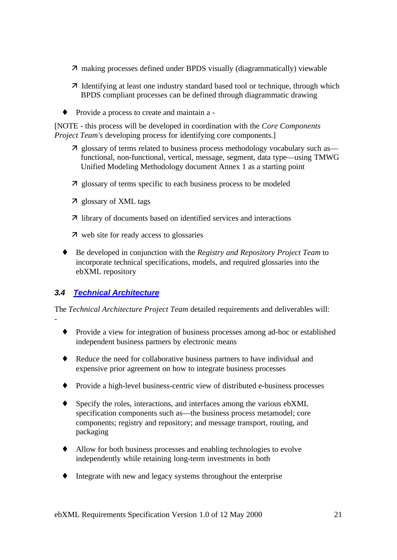- 7 making processes defined under BPDS visually (diagrammatically) viewable
- **7** Identifying at least one industry standard based tool or technique, through which BPDS compliant processes can be defined through diagrammatic drawing
- ♦ Provide a process to create and maintain a -

[NOTE - this process will be developed in coordination with the *Core Components Project Team's* developing process for identifying core components.

- **7** glossary of terms related to business process methodology vocabulary such as functional, non-functional, vertical, message, segment, data type—using TMWG Unified Modeling Methodology document Annex 1 as a starting point
- $\overline{z}$  glossary of terms specific to each business process to be modeled
- ‰ glossary of XML tags
- $\overline{\mathcal{A}}$  library of documents based on identified services and interactions
- **7** web site for ready access to glossaries
- ♦ Be developed in conjunction with the *Registry and Repository Project Team* to incorporate technical specifications, models, and required glossaries into the ebXML repository

## *3.4 Technical Architecture*

-

The *Technical Architecture Project Team* detailed requirements and deliverables will:

- ♦ Provide a view for integration of business processes among ad-hoc or established independent business partners by electronic means
- ♦ Reduce the need for collaborative business partners to have individual and expensive prior agreement on how to integrate business processes
- ♦ Provide a high-level business-centric view of distributed e-business processes
- Specify the roles, interactions, and interfaces among the various ebXML specification components such as—the business process metamodel; core components; registry and repository; and message transport, routing, and packaging
- ♦ Allow for both business processes and enabling technologies to evolve independently while retaining long-term investments in both
- Integrate with new and legacy systems throughout the enterprise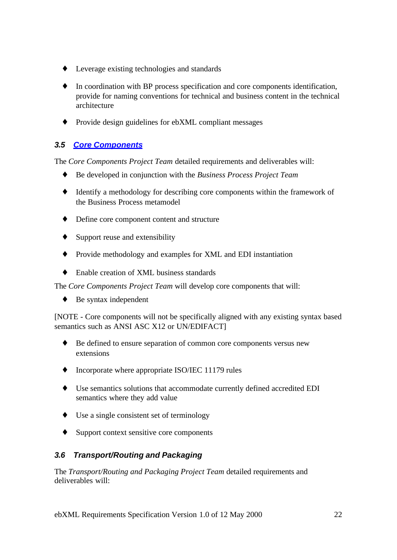- ♦ Leverage existing technologies and standards
- In coordination with BP process specification and core components identification, provide for naming conventions for technical and business content in the technical architecture
- ♦ Provide design guidelines for ebXML compliant messages

## *3.5 Core Components*

The *Core Components Project Team* detailed requirements and deliverables will:

- ♦ Be developed in conjunction with the *Business Process Project Team*
- ♦ Identify a methodology for describing core components within the framework of the Business Process metamodel
- ♦ Define core component content and structure
- $\triangle$  Support reuse and extensibility
- ♦ Provide methodology and examples for XML and EDI instantiation
- ♦ Enable creation of XML business standards

The *Core Components Project Team* will develop core components that will:

 $\triangle$  Be syntax independent

[NOTE - Core components will not be specifically aligned with any existing syntax based semantics such as ANSI ASC X12 or UN/EDIFACT]

- ♦ Be defined to ensure separation of common core components versus new extensions
- ♦ Incorporate where appropriate ISO/IEC 11179 rules
- ♦ Use semantics solutions that accommodate currently defined accredited EDI semantics where they add value
- ♦ Use a single consistent set of terminology
- ♦ Support context sensitive core components

## *3.6 Transport/Routing and Packaging*

The *Transport/Routing and Packaging Project Team* detailed requirements and deliverables will: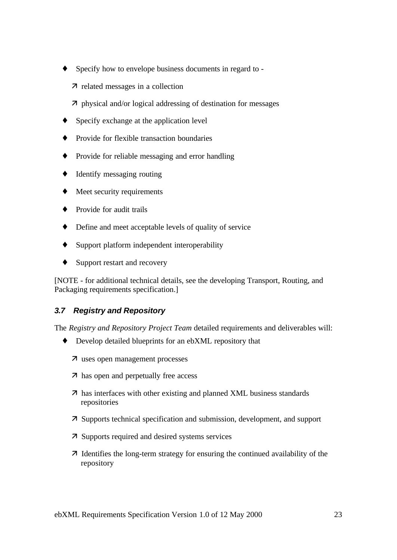- Specify how to envelope business documents in regard to -
	- 7 related messages in a collection
	- $\overline{\phantom{a}}$  physical and/or logical addressing of destination for messages
- Specify exchange at the application level
- Provide for flexible transaction boundaries
- ♦ Provide for reliable messaging and error handling
- ♦ Identify messaging routing
- Meet security requirements
- Provide for audit trails
- ♦ Define and meet acceptable levels of quality of service
- ♦ Support platform independent interoperability
- ♦ Support restart and recovery

[NOTE - for additional technical details, see the developing Transport, Routing, and Packaging requirements specification.]

## *3.7 Registry and Repository*

The *Registry and Repository Project Team* detailed requirements and deliverables will:

- ♦ Develop detailed blueprints for an ebXML repository that
	- 7 uses open management processes
	- $\overline{\mathbf{z}}$  has open and perpetually free access
	- $\overline{\mathbf{7}}$  has interfaces with other existing and planned XML business standards repositories
	- ‰ Supports technical specification and submission, development, and support
	- $\overline{z}$  Supports required and desired systems services
	- $\overline{\phantom{a}}$  Identifies the long-term strategy for ensuring the continued availability of the repository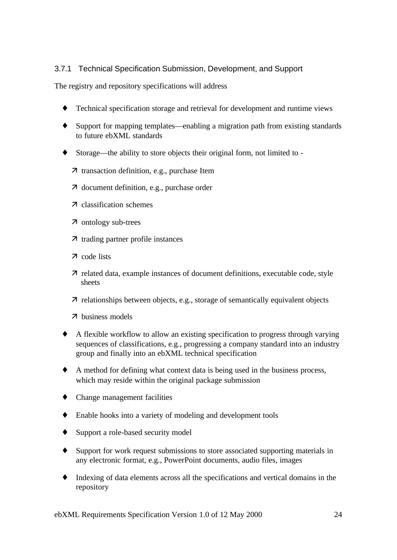## 3.7.1 Technical Specification Submission, Development, and Support

The registry and repository specifications will address

- Technical specification storage and retrieval for development and runtime views
- Support for mapping templates—enabling a migration path from existing standards to future ebXML standards
- ♦ Storage—the ability to store objects their original form, not limited to
	- 7 transaction definition, e.g., purchase Item
	- 7 document definition, e.g., purchase order
	- 7 classification schemes
	- 7 ontology sub-trees
	- 7 trading partner profile instances
	- 7 code lists
	- ‰ related data, example instances of document definitions, executable code, style sheets
	- $\bar{\tau}$  relationships between objects, e.g., storage of semantically equivalent objects
	- ‰ business models
- ♦ A flexible workflow to allow an existing specification to progress through varying sequences of classifications, e.g., progressing a company standard into an industry group and finally into an ebXML technical specification
- ♦ A method for defining what context data is being used in the business process, which may reside within the original package submission
- ♦ Change management facilities
- ♦ Enable hooks into a variety of modeling and development tools
- ♦ Support a role-based security model
- Support for work request submissions to store associated supporting materials in any electronic format, e.g., PowerPoint documents, audio files, images
- ♦ Indexing of data elements across all the specifications and vertical domains in the repository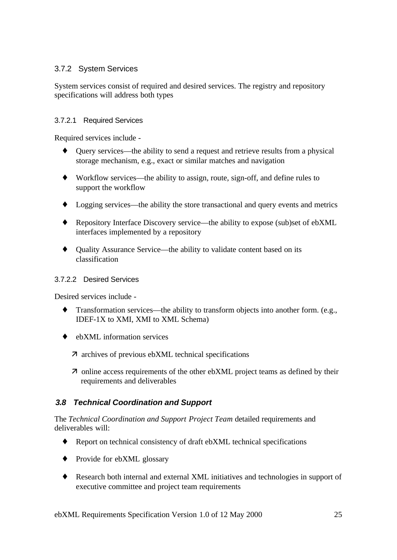### 3.7.2 System Services

System services consist of required and desired services. The registry and repository specifications will address both types

#### 3.7.2.1 Required Services

Required services include -

- Query services—the ability to send a request and retrieve results from a physical storage mechanism, e.g., exact or similar matches and navigation
- ♦ Workflow services—the ability to assign, route, sign-off, and define rules to support the workflow
- ♦ Logging services—the ability the store transactional and query events and metrics
- ♦ Repository Interface Discovery service—the ability to expose (sub)set of ebXML interfaces implemented by a repository
- ♦ Quality Assurance Service—the ability to validate content based on its classification

#### 3.7.2.2 Desired Services

Desired services include -

- Transformation services—the ability to transform objects into another form. (e.g., IDEF-1X to XMI, XMI to XML Schema)
- $\leftrightarrow$  ebXML information services
	- $\bar{\lambda}$  archives of previous ebXML technical specifications
	- $\overline{\phantom{a}}$  online access requirements of the other ebXML project teams as defined by their requirements and deliverables

## *3.8 Technical Coordination and Support*

The *Technical Coordination and Support Project Team* detailed requirements and deliverables will:

- ♦ Report on technical consistency of draft ebXML technical specifications
- Provide for ebXML glossary
- ♦ Research both internal and external XML initiatives and technologies in support of executive committee and project team requirements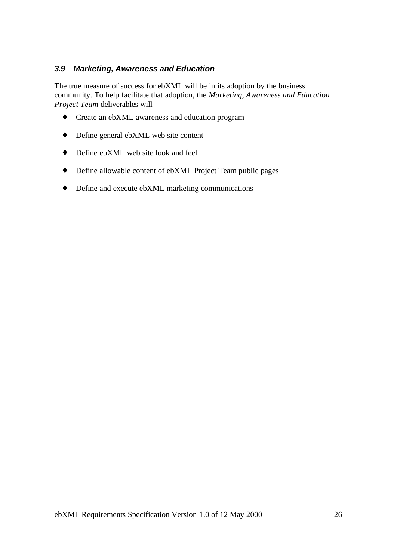#### *3.9 Marketing, Awareness and Education*

The true measure of success for ebXML will be in its adoption by the business community. To help facilitate that adoption, the *Marketing, Awareness and Education Project Team* deliverables will

- ♦ Create an ebXML awareness and education program
- ♦ Define general ebXML web site content
- ♦ Define ebXML web site look and feel
- ♦ Define allowable content of ebXML Project Team public pages
- ♦ Define and execute ebXML marketing communications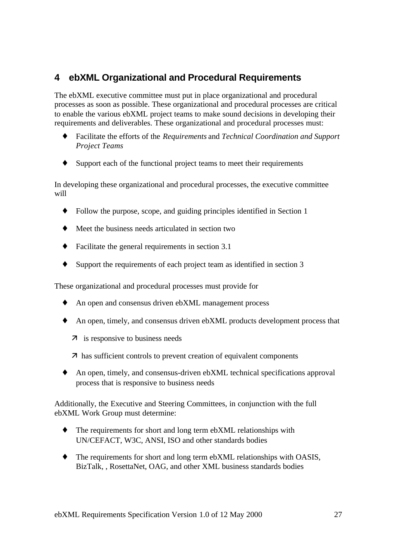## **4 ebXML Organizational and Procedural Requirements**

The ebXML executive committee must put in place organizational and procedural processes as soon as possible. These organizational and procedural processes are critical to enable the various ebXML project teams to make sound decisions in developing their requirements and deliverables. These organizational and procedural processes must:

- ♦ Facilitate the efforts of the *Requirements* and *Technical Coordination and Support Project Teams*
- ♦ Support each of the functional project teams to meet their requirements

In developing these organizational and procedural processes, the executive committee will

- Follow the purpose, scope, and guiding principles identified in Section 1
- ♦ Meet the business needs articulated in section two
- ♦ Facilitate the general requirements in section 3.1
- ♦ Support the requirements of each project team as identified in section 3

These organizational and procedural processes must provide for

- An open and consensus driven ebXML management process
- ♦ An open, timely, and consensus driven ebXML products development process that
	- 7 is responsive to business needs
	- $\overline{\mathbf{z}}$  has sufficient controls to prevent creation of equivalent components
- ♦ An open, timely, and consensus-driven ebXML technical specifications approval process that is responsive to business needs

Additionally, the Executive and Steering Committees, in conjunction with the full ebXML Work Group must determine:

- The requirements for short and long term ebXML relationships with UN/CEFACT, W3C, ANSI, ISO and other standards bodies
- ♦ The requirements for short and long term ebXML relationships with OASIS, BizTalk, , RosettaNet, OAG, and other XML business standards bodies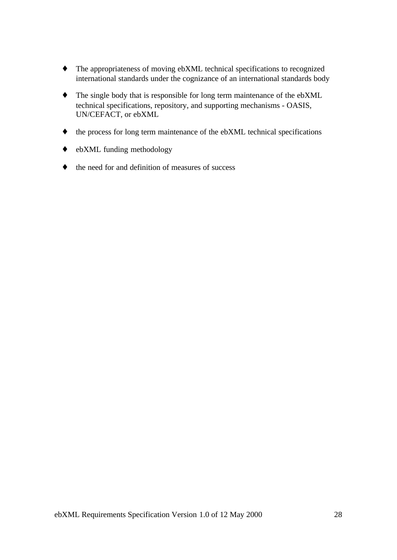- ♦ The appropriateness of moving ebXML technical specifications to recognized international standards under the cognizance of an international standards body
- ♦ The single body that is responsible for long term maintenance of the ebXML technical specifications, repository, and supporting mechanisms - OASIS, UN/CEFACT, or ebXML
- ♦ the process for long term maintenance of the ebXML technical specifications
- ♦ ebXML funding methodology
- ♦ the need for and definition of measures of success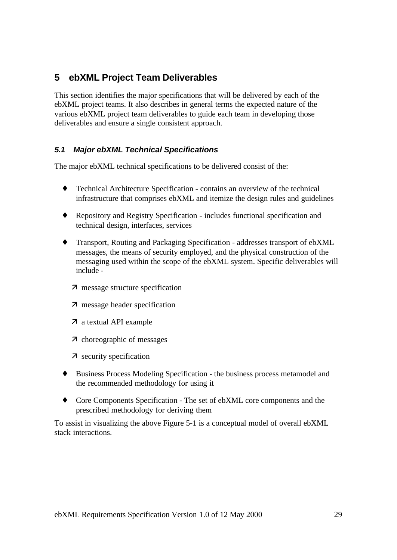## **5 ebXML Project Team Deliverables**

This section identifies the major specifications that will be delivered by each of the ebXML project teams. It also describes in general terms the expected nature of the various ebXML project team deliverables to guide each team in developing those deliverables and ensure a single consistent approach.

## *5.1 Major ebXML Technical Specifications*

The major ebXML technical specifications to be delivered consist of the:

- ♦ Technical Architecture Specification contains an overview of the technical infrastructure that comprises ebXML and itemize the design rules and guidelines
- ♦ Repository and Registry Specification includes functional specification and technical design, interfaces, services
- ♦ Transport, Routing and Packaging Specification addresses transport of ebXML messages, the means of security employed, and the physical construction of the messaging used within the scope of the ebXML system. Specific deliverables will include -
	- **7** message structure specification
	- 7 message header specification
	- 7 a textual API example
	- ‰ choreographic of messages
	- 7 security specification
- ♦ Business Process Modeling Specification the business process metamodel and the recommended methodology for using it
- ♦ Core Components Specification The set of ebXML core components and the prescribed methodology for deriving them

To assist in visualizing the above Figure 5-1 is a conceptual model of overall ebXML stack interactions.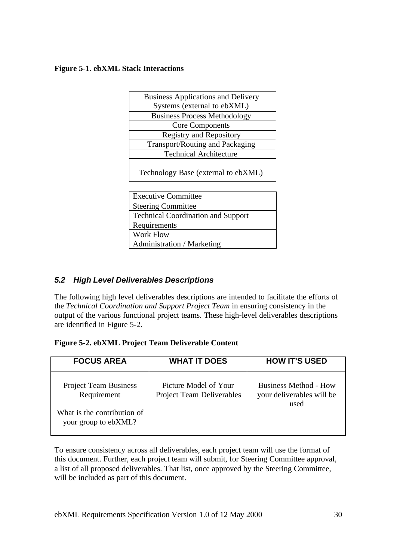#### **Figure 5-1. ebXML Stack Interactions**

| <b>Business Applications and Delivery</b> |  |
|-------------------------------------------|--|
| Systems (external to ebXML)               |  |
| <b>Business Process Methodology</b>       |  |
| <b>Core Components</b>                    |  |
| <b>Registry and Repository</b>            |  |
| Transport/Routing and Packaging           |  |
| <b>Technical Architecture</b>             |  |
|                                           |  |

Technology Base (external to ebXML)

#### *5.2 High Level Deliverables Descriptions*

The following high level deliverables descriptions are intended to facilitate the efforts of the *Technical Coordination and Support Project Team* in ensuring consistency in the output of the various functional project teams. These high-level deliverables descriptions are identified in Figure 5-2.

| Figure 5-2. ebXML Project Team Deliverable Content |  |  |  |
|----------------------------------------------------|--|--|--|
|----------------------------------------------------|--|--|--|

| <b>FOCUS AREA</b>                                                                                  | <b>WHAT IT DOES</b>                                | <b>HOW IT'S USED</b>                                              |
|----------------------------------------------------------------------------------------------------|----------------------------------------------------|-------------------------------------------------------------------|
| <b>Project Team Business</b><br>Requirement<br>What is the contribution of<br>your group to ebXML? | Picture Model of Your<br>Project Team Deliverables | <b>Business Method - How</b><br>your deliverables will be<br>used |

To ensure consistency across all deliverables, each project team will use the format of this document. Further, each project team will submit, for Steering Committee approval, a list of all proposed deliverables. That list, once approved by the Steering Committee, will be included as part of this document.